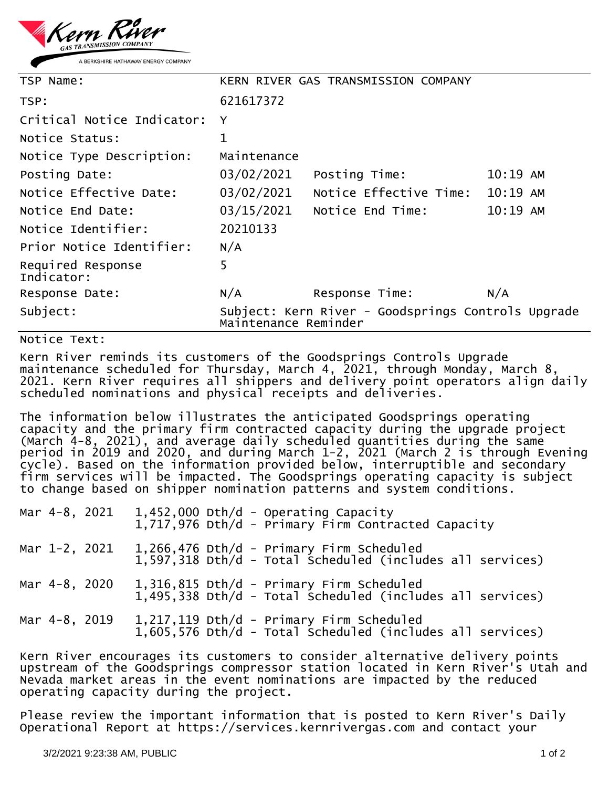

| TSP Name:                       | KERN RIVER GAS TRANSMISSION COMPANY                                        |                        |            |  |
|---------------------------------|----------------------------------------------------------------------------|------------------------|------------|--|
| TSP:                            | 621617372                                                                  |                        |            |  |
| Critical Notice Indicator:      | Y                                                                          |                        |            |  |
| Notice Status:                  | 1                                                                          |                        |            |  |
| Notice Type Description:        | Maintenance                                                                |                        |            |  |
| Posting Date:                   | 03/02/2021                                                                 | Posting Time:          | $10:19$ AM |  |
| Notice Effective Date:          | 03/02/2021                                                                 | Notice Effective Time: | 10:19 AM   |  |
| Notice End Date:                | 03/15/2021                                                                 | Notice End Time:       | 10:19 AM   |  |
| Notice Identifier:              | 20210133                                                                   |                        |            |  |
| Prior Notice Identifier:        | N/A                                                                        |                        |            |  |
| Required Response<br>Indicator: | 5                                                                          |                        |            |  |
| Response Date:                  | N/A                                                                        | Response Time:         | N/A        |  |
| Subject:                        | Subject: Kern River - Goodsprings Controls Upgrade<br>Maintenance Reminder |                        |            |  |

## Notice Text:

Kern River reminds its customers of the Goodsprings Controls Upgrade maintenance scheduled for Thursday, March 4, 2021, through Monday, March 8, 2021. Kern River requires all shippers and delivery point operators align daily scheduled nominations and physical receipts and deliveries.

The information below illustrates the anticipated Goodsprings operating capacity and the primary firm contracted capacity during the upgrade project (March 4-8, 2021), and average daily scheduled quantities during the same period in 2019 and 2020, and during March 1-2, 2021 (March 2 is through Evening cycle). Based on the information provided below, interruptible and secondary firm services will be impacted. The Goodsprings operating capacity is subject to change based on shipper nomination patterns and system conditions.

|                                                                                                                                                               |               | Mar 4-8, 2021 |  |  | $1,452,000$ Dth/d - Operating Capacity<br>1,717,976 Dth/d - Primary Firm Contracted Capacity              |
|---------------------------------------------------------------------------------------------------------------------------------------------------------------|---------------|---------------|--|--|-----------------------------------------------------------------------------------------------------------|
|                                                                                                                                                               | Mar 1-2, 2021 |               |  |  | $1,266,476$ Dth/d - Primary Firm Scheduled<br>1,597,318 Dth/d - Total Scheduled (includes all services)   |
|                                                                                                                                                               | Mar 4-8, 2020 |               |  |  | 1,316,815 Dth/d - Primary Firm Scheduled<br>1.495.338 Dth/d - Total Scheduled (includes all services)     |
|                                                                                                                                                               | Mar 4-8, 2019 |               |  |  | $1,217,119$ Dth/d - Primary Firm Scheduled<br>$1,605,576$ Dth/d - Total Scheduled (includes all services) |
| Kern River encourages its customers to consider alternative delivery points<br>unstream of the Coodsprings compressor station located in Kern Piver's Utah an |               |               |  |  |                                                                                                           |

upstream of the Goodsprings compressor station located in Kern River's Utah and Nevada market areas in the event nominations are impacted by the reduced operating capacity during the project.

Please review the important information that is posted to Kern River's Daily Operational Report at https://services.kernrivergas.com and contact your